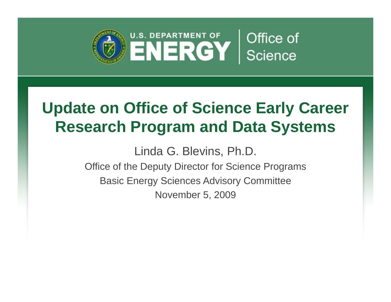

# **Update on Office of Science Early Career Research Program and Data Systems**

Linda G. Blevins, Ph.D. Linda G. Blevins, Ph.D.<br>e of the Deputy Director for Science

Office of the Deputy Director for Science Programs Basic Energy Sciences Advisory Committee November 5, 2009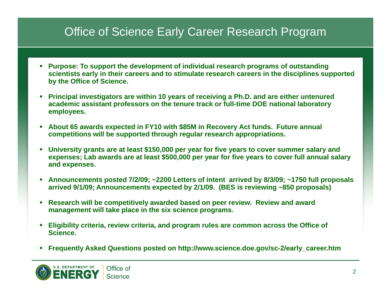### Office of Science Early Career Research Program

- **Purpose: To support the development of individual research programs of outstanding scientists early in their careers and to stimulate research careers in the disciplines supported by the Office of Science.**
- П **Principal investigators are within 10 years of receiving a Ph.D. and are either untenured academic assistant professors on the tenure track or full-time DOE national laboratory employees.**
- $\overline{\phantom{a}}$  **About 65 awards expected in FY10 with \$85M in Recovery Act funds. Future annual**  competitions will be supported through regular research appropriations.
- П **University grants are at least \$150,000 per year for five years to cover summer salary and expenses; Lab awards are at least \$500,000 per year for five years to cover full annual salary and expenses.**
- Ш **Announcements posted 7/2/09; ~2200 Letters of intent arrived by 8/3/09; ~1750 full proposals arrived 9/1/09; Announcements expected by 2/1/09. (BES is reviewing ~850 proposals)**
- **Research will be competitively awarded based on peer review. Review and award management ill t k l i th i i t will ta ke place in the six science programs.**
- **Eligibility criteria, review criteria, and program rules are common across the Office of Science.**
- Frequently Asked Questions posted on http://www.science.doe.gov/sc-2/early\_career.htm

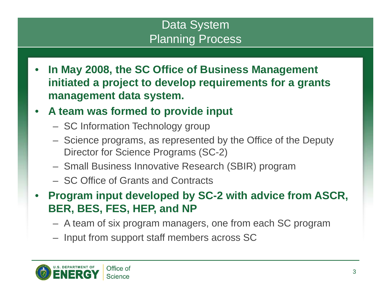### Data System Planning Process

- • **In May 2008, the SC Office of Business Management initiated a project to develop requirements for a grants management data system system.**
- • **A team was formed to provide input**
	- SC Information Technology group
	- Science programs, as represented by the Office of the Deputy Director for Science Programs (SC-2)
	- Small Business Innovative Research (SBIR) program
	- SC Office of Grants and Contracts
- • **Program input developed by SC-2 with advice from ASCR, BER BES FES HEP and NP BER, BES, FES, HEP,** 
	- A team of six program managers, one from each SC program
	- Input from support staff members across SC

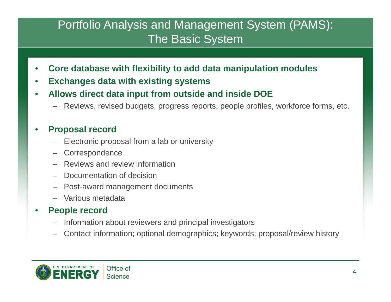### Portfolio Analysis and Management System (PAMS): The Basic System

- •**Core database with flexibility to add data manipulation modules**
- •**Exchanges data with existing systems**
- • **Allows direct data input from outside and inside DOE direct**
	- Reviews, revised budgets, progress reports, people profiles, workforce forms, etc.

#### •**Proposal record**

- Electronic proposal from a lab or university
- –**Correspondence**
- Reviews and review information
- –Documentation of decision
- –Post-award management documents
- Various metadata

#### •**•** People record

- Information about reviewers and principal investigators
- –Contact information; optional demographics; keywords; proposal/review history

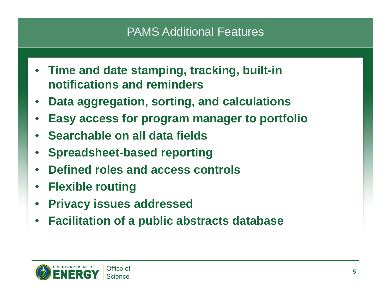### PAMS Additional Features

- **Time and date stamping, tracking, built-in notifications and reminders**
- •**Data aggregation, sorting, and calculations**
- •**Easy access for program manager to portfolio**
- **Searchable on all data fields**
- •**Spreadsheet-based reporting**
- •**Defined roles and access controls**
- •**Flexible routing**
- •**Privacy ssues add essed issues ressed**
- $\bullet$ **Facilitation of a public abstracts database**

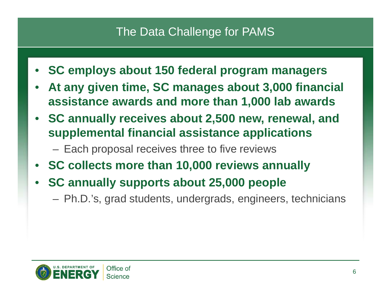### The Data Challenge for PAMS

- •**SC employs about 150 federal program managers**
- •**• At any given time, SC manages about 3,000 financial assistance awards and more than 1,000 lab awards**
- **SC annually receives about 2,500 new, renewal, and supplemental financial assistance applications applications**
	- Each proposal receives three to five reviews
- **SC collects more than 10,000 reviews annually**
- • **SC annually supports about 25,000 people**
	- Ph.D.'s, grad students, undergrads, engineers, technicians